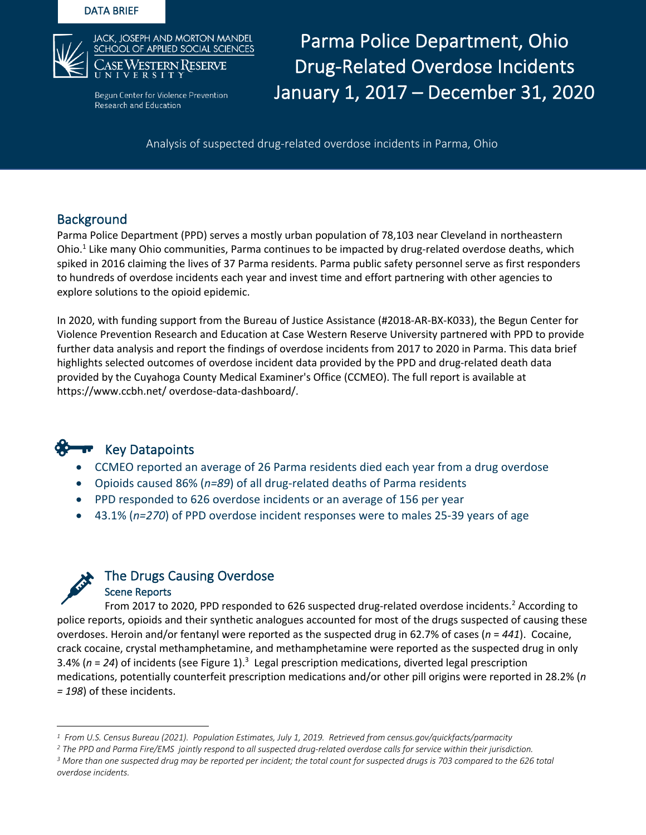#### DATA BRIEF



NRESERVE **Drug-Related Overdose Incidents**  $D_{\text{Hence Prevention}}$  January 1, 2017 – December 31, 2020 Parma Police Department, Ohio

Analysis of suspected drug-related overdose incidents in Parma, Ohio

# **Background**

Parma Police Department (PPD) serves a mostly urban population of 78,103 near Cleveland in northeastern Ohio.<sup>1</sup> Like many Ohio communities, Parma continues to be impacted by drug-related overdose deaths, which spiked in 2016 claiming the lives of 37 Parma residents. Parma public safety personnel serve as first responders to hundreds of overdose incidents each year and invest time and effort partnering with other agencies to explore solutions to the opioid epidemic.

In 2020, with funding support from the Bureau of Justice Assistance (#2018-AR-BX-K033), the Begun Center for Violence Prevention Research and Education at Case Western Reserve University partnered with PPD to provide further data analysis and report the findings of overdose incidents from 2017 to 2020 in Parma. This data brief highlights selected outcomes of overdose incident data provided by the PPD and drug-related death data provided by the Cuyahoga County Medical Examiner's Office (CCMEO). The full report is available at https://www.ccbh.net/ overdose-data-dashboard/.



- CCMEO reported an average of 26 Parma residents died each year from a drug overdose
- Opioids caused 86% (*n=89*) of all drug-related deaths of Parma residents
- PPD responded to 626 overdose incidents or an average of 156 per year
- 43.1% (*n=270*) of PPD overdose incident responses were to males 25-39 years of age



From 2017 to 2020, PPD responded to 626 suspected drug-related overdose incidents.<sup>2</sup> According to police reports, opioids and their synthetic analogues accounted for most of the drugs suspected of causing these overdoses. Heroin and/or fentanyl were reported as the suspected drug in 62.7% of cases (*n* = *441*). Cocaine, crack cocaine, crystal methamphetamine, and methamphetamine were reported as the suspected drug in only 3.4% ( $n = 24$ ) of incidents (see Figure 1).<sup>3</sup> Legal prescription medications, diverted legal prescription medications, potentially counterfeit prescription medications and/or other pill origins were reported in 28.2% (*n = 198*) of these incidents.

*<sup>1</sup> From U.S. Census Bureau (2021). Population Estimates, July 1, 2019. Retrieved from census.gov/quickfacts/parmacity*

<sup>&</sup>lt;sup>2</sup> The PPD and Parma Fire/EMS jointly respond to all suspected drug-related overdose calls for service within their jurisdiction.<br><sup>3</sup> More than one suspected drug may be reported per incident; the total count for suspecte *overdose incidents.*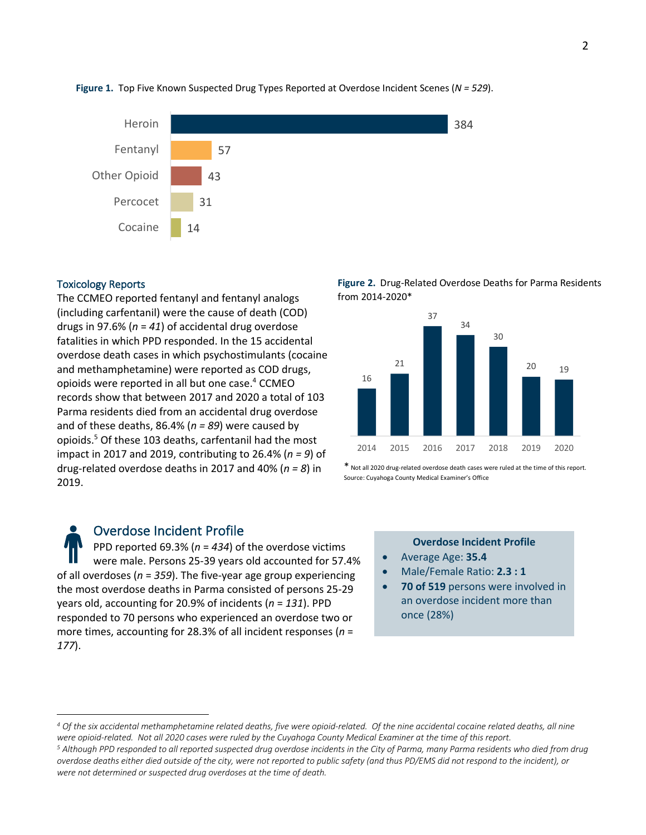

#### **Figure 1.** Top Five Known Suspected Drug Types Reported at Overdose Incident Scenes (*N = 529*).

#### Toxicology Reports

The CCMEO reported fentanyl and fentanyl analogs (including carfentanil) were the cause of death (COD) drugs in 97.6% (*n* = *41*) of accidental drug overdose fatalities in which PPD responded. In the 15 accidental overdose death cases in which psychostimulants (cocaine and methamphetamine) were reported as COD drugs, opioids were reported in all but one case. <sup>4</sup> CCMEO records show that between 2017 and 2020 a total of 103 Parma residents died from an accidental drug overdose and of these deaths, 86.4% (*n = 89*) were caused by opioids. <sup>5</sup> Of these 103 deaths, carfentanil had the most impact in 2017 and 2019, contributing to 26.4% (*n = 9*) of drug-related overdose deaths in 2017 and 40% (*n = 8*) in 2019.

Overdose Incident Profile PPD reported 69.3% (*n* = *434*) of the overdose victims were male. Persons 25-39 years old accounted for 57.4% of all overdoses (*n* = *359*). The five-year age group experiencing the most overdose deaths in Parma consisted of persons 25-29 years old, accounting for 20.9% of incidents (*n* = *131*). PPD responded to 70 persons who experienced an overdose two or more times, accounting for 28.3% of all incident responses (*n* = *177*).





\* Not all 2020 drug-related overdose death cases were ruled at the time of this report. Source: Cuyahoga County Medical Examiner's Office

### **Overdose Incident Profile**

- Average Age: **35.4**
- Male/Female Ratio: **2.3 : 1**
- **70 of 519** persons were involved in an overdose incident more than once (28%)

*<sup>4</sup> Of the six accidental methamphetamine related deaths, five were opioid-related. Of the nine accidental cocaine related deaths, all nine*  were opioid-related. Not all 2020 cases were ruled by the Cuyahoga County Medical Examiner at the time of this report.<br><sup>5</sup> Although PPD responded to all reported suspected drug overdose incidents in the City of Parma, many

*overdose deaths either died outside of the city, were not reported to public safety (and thus PD/EMS did not respond to the incident), or were not determined or suspected drug overdoses at the time of death.*